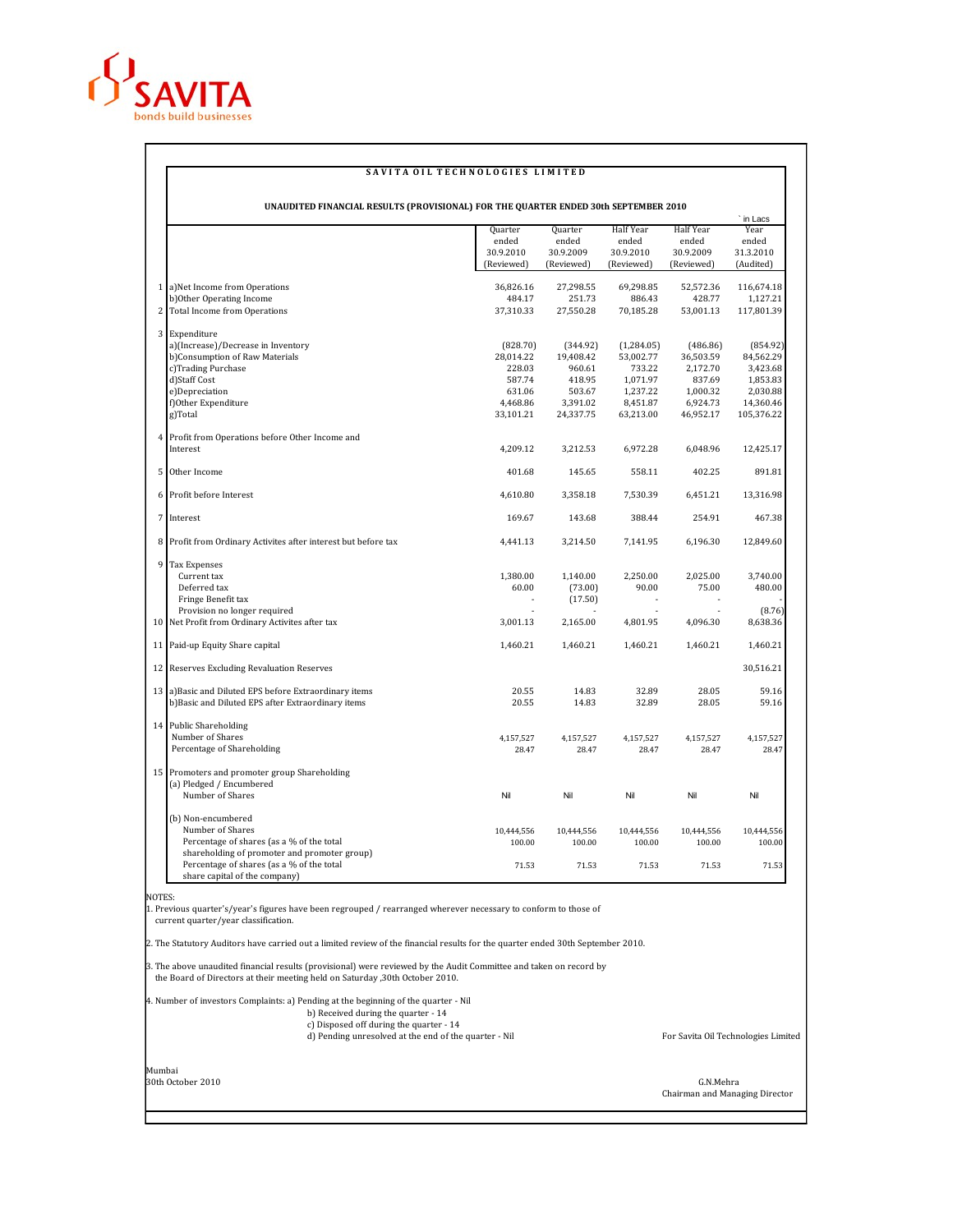

## SAVITA OIL TECHNOLOGIES LIMITED

|   | UNAUDITED FINANCIAL RESULTS (PROVISIONAL) FOR THE QUARTER ENDED 30th SEPTEMBER 2010       |                       |                       | Half Year               | Half Year             | ` in Lacs<br>Year     |
|---|-------------------------------------------------------------------------------------------|-----------------------|-----------------------|-------------------------|-----------------------|-----------------------|
|   |                                                                                           | Quarter<br>ended      | Quarter<br>ended      | ended                   | ended                 | ended                 |
|   |                                                                                           | 30.9.2010             | 30.9.2009             | 30.9.2010               | 30.9.2009             | 31.3.2010             |
|   |                                                                                           | (Reviewed)            | (Reviewed)            | (Reviewed)              | (Reviewed)            | (Audited)             |
|   | 1 a) Net Income from Operations                                                           | 36,826.16             | 27,298.55             | 69,298.85               | 52,572.36             | 116,674.18            |
|   | b)Other Operating Income                                                                  | 484.17                | 251.73                | 886.43                  | 428.77                | 1,127.21              |
|   | 2 Total Income from Operations                                                            | 37,310.33             | 27,550.28             | 70,185.28               | 53,001.13             | 117,801.39            |
|   | 3 Expenditure                                                                             |                       |                       |                         |                       |                       |
|   | a)(Increase)/Decrease in Inventory<br>b)Consumption of Raw Materials                      | (828.70)<br>28,014.22 | (344.92)<br>19,408.42 | (1,284.05)<br>53,002.77 | (486.86)<br>36,503.59 | (854.92)<br>84,562.29 |
|   | c)Trading Purchase                                                                        | 228.03                | 960.61                | 733.22                  | 2,172.70              | 3,423.68              |
|   | d)Staff Cost                                                                              | 587.74                | 418.95                | 1,071.97                | 837.69                | 1,853.83              |
|   | e)Depreciation                                                                            | 631.06                | 503.67                | 1,237.22                | 1,000.32              | 2,030.88              |
|   | f)Other Expenditure                                                                       | 4.468.86              | 3,391.02              | 8,451.87                | 6,924.73              | 14,360.46             |
|   | g)Total                                                                                   | 33,101.21             | 24,337.75             | 63,213.00               | 46,952.17             | 105,376.22            |
|   | 4 Profit from Operations before Other Income and                                          |                       |                       |                         |                       |                       |
|   | Interest                                                                                  | 4,209.12              | 3,212.53              | 6,972.28                | 6,048.96              | 12,425.17             |
| 5 | Other Income                                                                              | 401.68                | 145.65                | 558.11                  | 402.25                | 891.81                |
|   | 6 Profit before Interest                                                                  | 4,610.80              | 3,358.18              | 7,530.39                | 6,451.21              | 13,316.98             |
|   | 7 Interest                                                                                | 169.67                | 143.68                | 388.44                  | 254.91                | 467.38                |
|   | 8 Profit from Ordinary Activites after interest but before tax                            | 4,441.13              | 3,214.50              | 7.141.95                | 6,196.30              | 12,849.60             |
|   | 9 Tax Expenses                                                                            |                       |                       |                         |                       |                       |
|   | Current tax                                                                               | 1,380.00              | 1,140.00              | 2,250.00                | 2,025.00              | 3,740.00              |
|   | Deferred tax                                                                              | 60.00                 | (73.00)               | 90.00                   | 75.00                 | 480.00                |
|   | Fringe Benefit tax<br>Provision no longer required                                        |                       | (17.50)               |                         |                       | (8.76)                |
|   | 10 Net Profit from Ordinary Activites after tax                                           | 3,001.13              | 2,165.00              | 4,801.95                | 4,096.30              | 8,638.36              |
|   |                                                                                           |                       |                       |                         |                       |                       |
|   | 11 Paid-up Equity Share capital                                                           | 1,460.21              | 1,460.21              | 1,460.21                | 1,460.21              | 1,460.21              |
|   | 12 Reserves Excluding Revaluation Reserves                                                |                       |                       |                         |                       | 30,516.21             |
|   | 13 a) Basic and Diluted EPS before Extraordinary items                                    | 20.55                 | 14.83                 | 32.89                   | 28.05                 | 59.16                 |
|   | b)Basic and Diluted EPS after Extraordinary items                                         | 20.55                 | 14.83                 | 32.89                   | 28.05                 | 59.16                 |
|   | 14 Public Shareholding                                                                    |                       |                       |                         |                       |                       |
|   | Number of Shares                                                                          | 4,157,527             | 4,157,527             | 4,157,527               | 4,157,527             | 4.157.527             |
|   | Percentage of Shareholding                                                                | 28.47                 | 28.47                 | 28.47                   | 28.47                 | 28.47                 |
|   | 15 Promoters and promoter group Shareholding<br>(a) Pledged / Encumbered                  |                       |                       |                         |                       |                       |
|   | Number of Shares                                                                          | Nil                   | Nil                   | Nil                     | Nil                   | Nil                   |
|   | (b) Non-encumbered                                                                        |                       |                       |                         |                       |                       |
|   | Number of Shares                                                                          | 10,444,556            | 10,444,556            | 10,444,556              | 10,444,556            | 10,444,556            |
|   | Percentage of shares (as a % of the total                                                 | 100.00                | 100.00                | 100.00                  | 100.00                | 100.00                |
|   | shareholding of promoter and promoter group)<br>Percentage of shares (as a % of the total | 71.53                 | 71.53                 | 71.53                   | 71.53                 | 71.53                 |

NOTES: 1. Previous quarter's/year's figures have been regrouped / rearranged wherever necessary to conform to those of current quarter/year classification.

2. The Statutory Auditors have carried out a limited review of the financial results for the quarter ended 30th September 2010.

3. The above unaudited financial results (provisional) were reviewed by the Audit Committee and taken on record by the Board of Directors at their meeting held on Saturday ,30th October 2010.

## 4. Number of investors Complaints: a) Pending at the beginning of the quarter - Nil

- 
- b) Received during the quarter 14<br>c) Disposed off during the quarter 14<br>d) Pending unresolved at the end of the quarter Nil for Savita Oil Technologies Limited

Mumbai 30th October 2010 G.N.Mehra

Chairman and Managing Director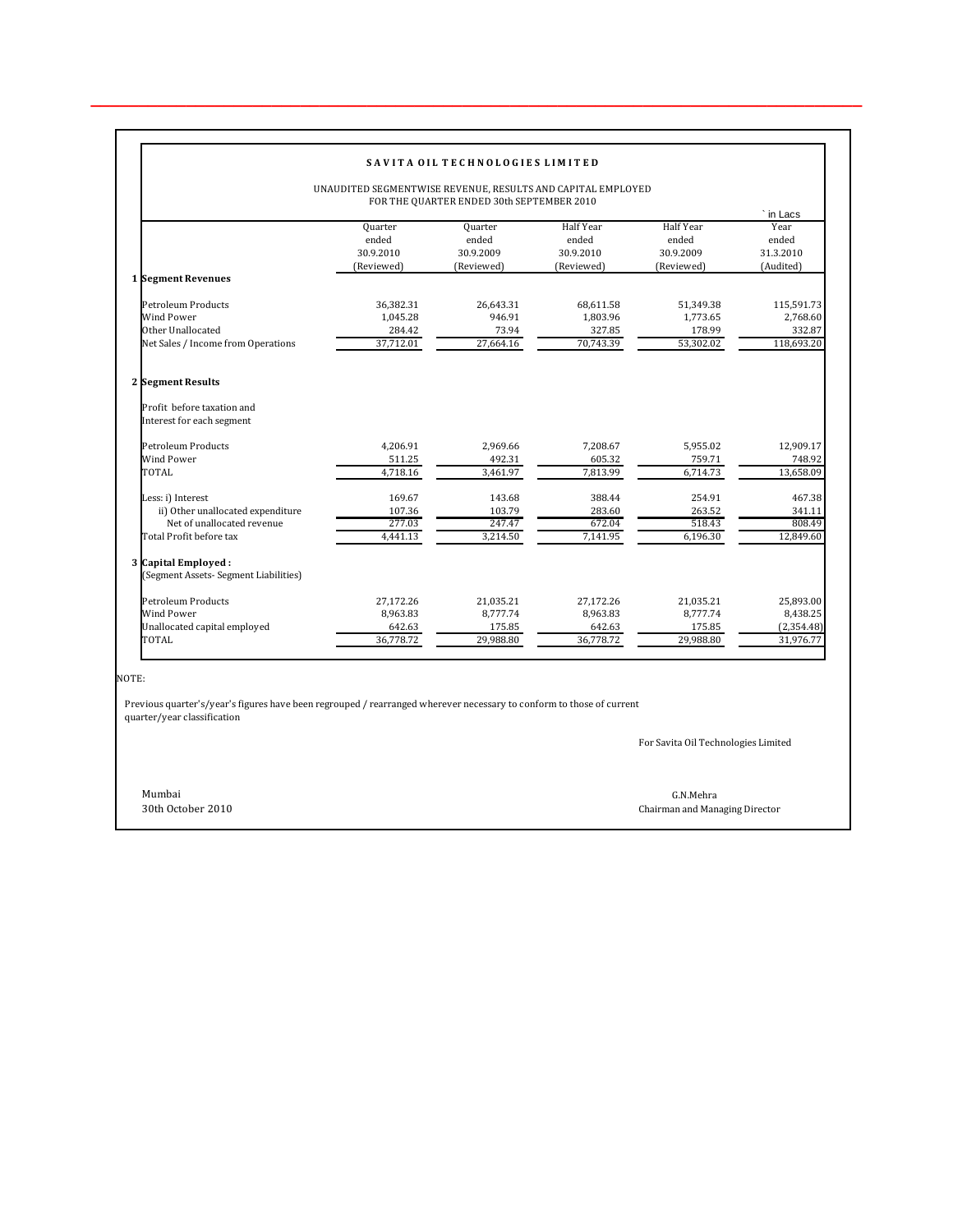| UNAUDITED SEGMENTWISE REVENUE, RESULTS AND CAPITAL EMPLOYED<br>FOR THE QUARTER ENDED 30th SEPTEMBER 2010 |                                             |                                             |                                                      |                                                      |                                                      |  |
|----------------------------------------------------------------------------------------------------------|---------------------------------------------|---------------------------------------------|------------------------------------------------------|------------------------------------------------------|------------------------------------------------------|--|
| 1 Segment Revenues                                                                                       | Quarter<br>ended<br>30.9.2010<br>(Reviewed) | Quarter<br>ended<br>30.9.2009<br>(Reviewed) | <b>Half Year</b><br>ended<br>30.9.2010<br>(Reviewed) | <b>Half Year</b><br>ended<br>30.9.2009<br>(Reviewed) | ` in Lacs<br>Year<br>ended<br>31.3.2010<br>(Audited) |  |
|                                                                                                          |                                             |                                             |                                                      |                                                      |                                                      |  |
| Petroleum Products                                                                                       | 36.382.31                                   | 26.643.31                                   | 68,611.58                                            | 51.349.38                                            | 115,591.73                                           |  |
| Wind Power                                                                                               | 1.045.28                                    | 946.91                                      | 1,803.96                                             | 1.773.65                                             | 2,768.60                                             |  |
| Other Unallocated                                                                                        | 284.42                                      | 73.94                                       | 327.85                                               | 178.99                                               | 332.87                                               |  |
| Net Sales / Income from Operations                                                                       | 37,712.01                                   | 27,664.16                                   | 70,743.39                                            | 53,302.02                                            | 118,693.20                                           |  |
| 2 Segment Results                                                                                        |                                             |                                             |                                                      |                                                      |                                                      |  |
| Profit before taxation and<br>Interest for each segment                                                  |                                             |                                             |                                                      |                                                      |                                                      |  |
| Petroleum Products                                                                                       | 4,206.91                                    | 2,969.66                                    | 7,208.67                                             | 5,955.02                                             | 12,909.17                                            |  |
| Wind Power                                                                                               | 511.25                                      | 492.31                                      | 605.32                                               | 759.71                                               | 748.92                                               |  |
| TOTAL                                                                                                    | 4.718.16                                    | 3,461.97                                    | 7.813.99                                             | 6,714.73                                             | 13,658.09                                            |  |
| Less: i) Interest                                                                                        | 169.67                                      | 143.68                                      | 388.44                                               | 254.91                                               | 467.38                                               |  |
| ii) Other unallocated expenditure                                                                        | 107.36                                      | 103.79                                      | 283.60                                               | 263.52                                               | 341.11                                               |  |
| Net of unallocated revenue                                                                               | 277.03                                      | 247.47                                      | 672.04                                               | 518.43                                               | 808.49                                               |  |
| Total Profit before tax                                                                                  | 4,441.13                                    | 3,214.50                                    | 7,141.95                                             | 6,196.30                                             | 12,849.60                                            |  |
| 3 Capital Employed:<br>(Segment Assets- Segment Liabilities)                                             |                                             |                                             |                                                      |                                                      |                                                      |  |
| Petroleum Products                                                                                       | 27.172.26                                   | 21.035.21                                   | 27.172.26                                            | 21.035.21                                            | 25.893.00                                            |  |
| Wind Power                                                                                               | 8,963.83                                    | 8,777.74                                    | 8,963.83                                             | 8,777.74                                             | 8,438.25                                             |  |
| Unallocated capital employed                                                                             | 642.63                                      | 175.85                                      | 642.63                                               | 175.85                                               | (2,354.48)                                           |  |
| TOTAL                                                                                                    | 36,778.72                                   | 29,988.80                                   | 36,778.72                                            | 29,988.80                                            | 31,976.77                                            |  |

**\_\_\_\_\_\_\_\_\_\_\_\_\_\_\_\_\_\_\_\_\_\_\_\_\_\_\_\_\_\_\_\_\_\_\_\_\_\_\_\_\_\_\_\_\_\_\_\_\_\_\_\_\_\_\_\_\_\_\_\_\_\_\_\_\_\_\_\_\_\_\_\_\_\_\_\_\_\_\_\_\_**

NOTE:

 Previous quarter's/year's figures have been regrouped / rearranged wherever necessary to conform to those of current quarter/year classification

For Savita Oil Technologies Limited

Mumbai G.N.Mehra

30th October 2010 Chairman and Managing Director